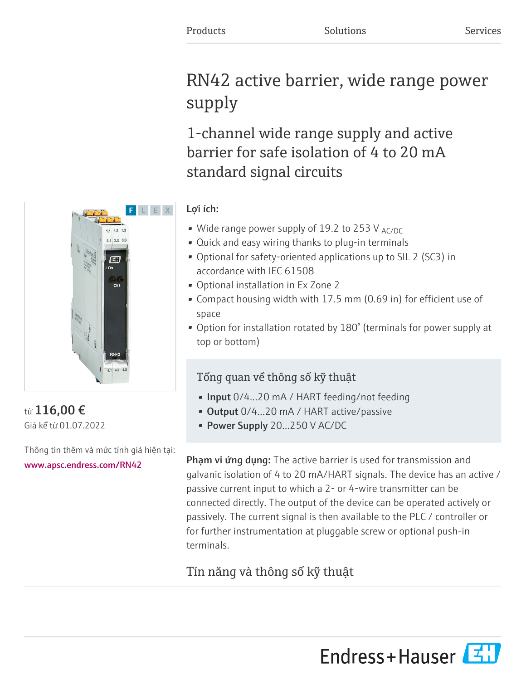# RN42 active barrier, wide range power supply

1-channel wide range supply and active barrier for safe isolation of 4 to 20 mA standard signal circuits

# Lợi ích:

- Wide range power supply of 19.2 to 253 V  $_{AC/DC}$
- Quick and easy wiring thanks to plug-in terminals
- Optional for safety-oriented applications up to SIL 2 (SC3) in accordance with IEC 61508
- Optional installation in Ex Zone 2
- Compact housing width with 17.5 mm (0.69 in) for efficient use of space
- Option for installation rotated by 180° (terminals for power supply at top or bottom)

# Tổng quan về thông số kỹ thuật

- Input 0/4...20 mA / HART feeding/not feeding
- Output 0/4...20 mA / HART active/passive
- Power Supply 20...250 V AC/DC

**Phạm vi ứng dụng:** The active barrier is used for transmission and galvanic isolation of 4 to 20 mA/HART signals. The device has an active / passive current input to which a 2- or 4-wire transmitter can be connected directly. The output of the device can be operated actively or passively. The current signal is then available to the PLC / controller or for further instrumentation at pluggable screw or optional push-in terminals.

# Tín năng và thông số kỹ thuật

từ 116,00 € Giá kể từ 01.07.2022

Thông tin thêm và mức tính giá hiện tại: [www.apsc.endress.com/RN42](https://www.apsc.endress.com/RN42)



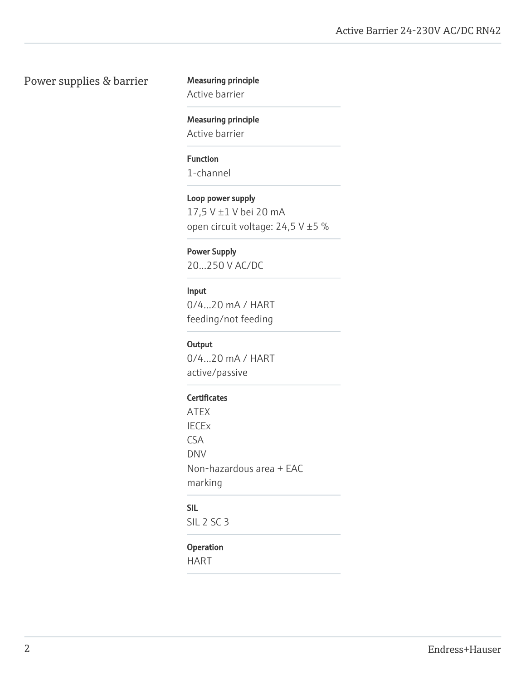### Power supplies & barrier Measuring principle

Active barrier

Measuring principle Active barrier

Function 1-channel

Loop power supply 17,5 V ±1 V bei 20 mA open circuit voltage: 24,5 V ±5 %

Power Supply 20...250 V AC/DC

# Input

0/4…20 mA / HART feeding/not feeding

#### **Output**

0/4…20 mA / HART active/passive

#### **Certificates**

ATEX IECEx CSA DNV Non-hazardous area + EAC marking

## SIL

SIL 2 SC 3

#### Operation

HART